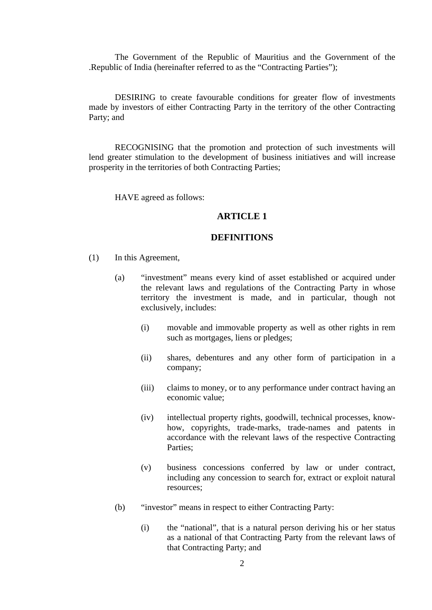The Government of the Republic of Mauritius and the Government of the .Republic of India (hereinafter referred to as the "Contracting Parties");

DESIRING to create favourable conditions for greater flow of investments made by investors of either Contracting Party in the territory of the other Contracting Party; and

RECOGNISING that the promotion and protection of such investments will lend greater stimulation to the development of business initiatives and will increase prosperity in the territories of both Contracting Parties;

HAVE agreed as follows:

## **ARTICLE 1**

## **DEFINITIONS**

- (1) In this Agreement,
	- (a) "investment" means every kind of asset established or acquired under the relevant laws and regulations of the Contracting Party in whose territory the investment is made, and in particular, though not exclusively, includes:
		- (i) movable and immovable property as well as other rights in rem such as mortgages, liens or pledges;
		- (ii) shares, debentures and any other form of participation in a company;
		- (iii) claims to money, or to any performance under contract having an economic value;
		- (iv) intellectual property rights, goodwill, technical processes, knowhow, copyrights, trade-marks, trade-names and patents in accordance with the relevant laws of the respective Contracting Parties;
		- (v) business concessions conferred by law or under contract, including any concession to search for, extract or exploit natural resources;
	- (b) "investor" means in respect to either Contracting Party:
		- (i) the "national", that is a natural person deriving his or her status as a national of that Contracting Party from the relevant laws of that Contracting Party; and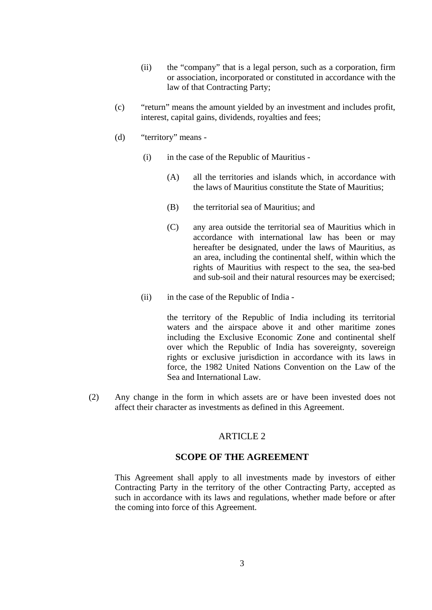- (ii) the "company" that is a legal person, such as a corporation, firm or association, incorporated or constituted in accordance with the law of that Contracting Party;
- (c) "return" means the amount yielded by an investment and includes profit, interest, capital gains, dividends, royalties and fees;
- (d) "territory" means
	- (i) in the case of the Republic of Mauritius
		- (A) all the territories and islands which, in accordance with the laws of Mauritius constitute the State of Mauritius;
		- (B) the territorial sea of Mauritius; and
		- (C) any area outside the territorial sea of Mauritius which in accordance with international law has been or may hereafter be designated, under the laws of Mauritius, as an area, including the continental shelf, within which the rights of Mauritius with respect to the sea, the sea-bed and sub-soil and their natural resources may be exercised;
	- (ii) in the case of the Republic of India -

the territory of the Republic of India including its territorial waters and the airspace above it and other maritime zones including the Exclusive Economic Zone and continental shelf over which the Republic of India has sovereignty, sovereign rights or exclusive jurisdiction in accordance with its laws in force, the 1982 United Nations Convention on the Law of the Sea and International Law.

(2) Any change in the form in which assets are or have been invested does not affect their character as investments as defined in this Agreement.

## ARTICLE 2

## **SCOPE OF THE AGREEMENT**

This Agreement shall apply to all investments made by investors of either Contracting Party in the territory of the other Contracting Party, accepted as such in accordance with its laws and regulations, whether made before or after the coming into force of this Agreement.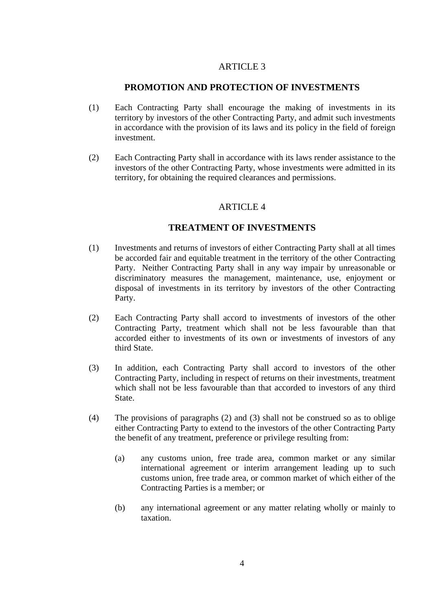## **PROMOTION AND PROTECTION OF INVESTMENTS**

- (1) Each Contracting Party shall encourage the making of investments in its territory by investors of the other Contracting Party, and admit such investments in accordance with the provision of its laws and its policy in the field of foreign investment.
- (2) Each Contracting Party shall in accordance with its laws render assistance to the investors of the other Contracting Party, whose investments were admitted in its territory, for obtaining the required clearances and permissions.

## ARTICLE 4

## **TREATMENT OF INVESTMENTS**

- (1) Investments and returns of investors of either Contracting Party shall at all times be accorded fair and equitable treatment in the territory of the other Contracting Party. Neither Contracting Party shall in any way impair by unreasonable or discriminatory measures the management, maintenance, use, enjoyment or disposal of investments in its territory by investors of the other Contracting Party.
- (2) Each Contracting Party shall accord to investments of investors of the other Contracting Party, treatment which shall not be less favourable than that accorded either to investments of its own or investments of investors of any third State.
- (3) In addition, each Contracting Party shall accord to investors of the other Contracting Party, including in respect of returns on their investments, treatment which shall not be less favourable than that accorded to investors of any third State.
- (4) The provisions of paragraphs (2) and (3) shall not be construed so as to oblige either Contracting Party to extend to the investors of the other Contracting Party the benefit of any treatment, preference or privilege resulting from:
	- (a) any customs union, free trade area, common market or any similar international agreement or interim arrangement leading up to such customs union, free trade area, or common market of which either of the Contracting Parties is a member; or
	- (b) any international agreement or any matter relating wholly or mainly to taxation.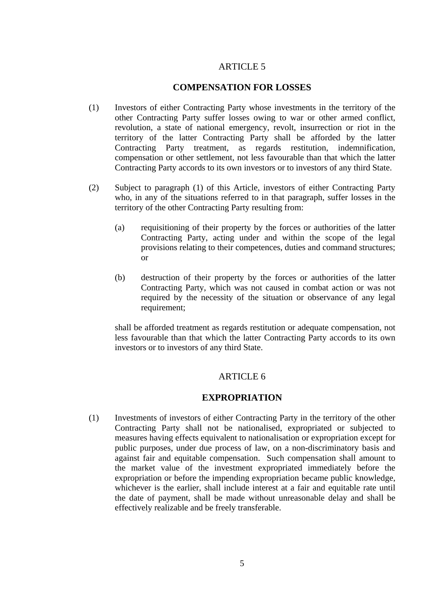## **COMPENSATION FOR LOSSES**

- (1) Investors of either Contracting Party whose investments in the territory of the other Contracting Party suffer losses owing to war or other armed conflict, revolution, a state of national emergency, revolt, insurrection or riot in the territory of the latter Contracting Party shall be afforded by the latter Contracting Party treatment, as regards restitution, indemnification, compensation or other settlement, not less favourable than that which the latter Contracting Party accords to its own investors or to investors of any third State.
- (2) Subject to paragraph (1) of this Article, investors of either Contracting Party who, in any of the situations referred to in that paragraph, suffer losses in the territory of the other Contracting Party resulting from:
	- (a) requisitioning of their property by the forces or authorities of the latter Contracting Party, acting under and within the scope of the legal provisions relating to their competences, duties and command structures; or
	- (b) destruction of their property by the forces or authorities of the latter Contracting Party, which was not caused in combat action or was not required by the necessity of the situation or observance of any legal requirement;

 shall be afforded treatment as regards restitution or adequate compensation, not less favourable than that which the latter Contracting Party accords to its own investors or to investors of any third State.

## ARTICLE 6

### **EXPROPRIATION**

(1) Investments of investors of either Contracting Party in the territory of the other Contracting Party shall not be nationalised, expropriated or subjected to measures having effects equivalent to nationalisation or expropriation except for public purposes, under due process of law, on a non-discriminatory basis and against fair and equitable compensation. Such compensation shall amount to the market value of the investment expropriated immediately before the expropriation or before the impending expropriation became public knowledge, whichever is the earlier, shall include interest at a fair and equitable rate until the date of payment, shall be made without unreasonable delay and shall be effectively realizable and be freely transferable.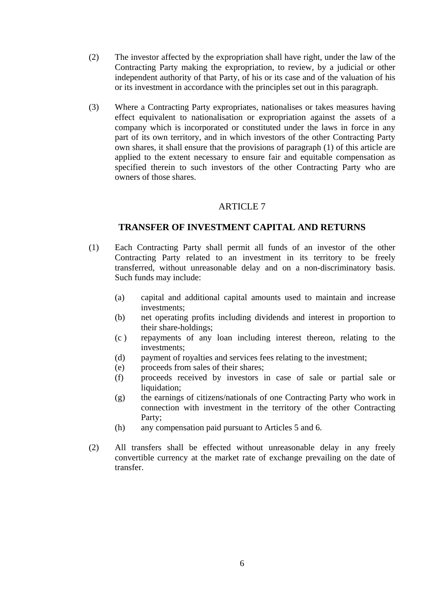- (2) The investor affected by the expropriation shall have right, under the law of the Contracting Party making the expropriation, to review, by a judicial or other independent authority of that Party, of his or its case and of the valuation of his or its investment in accordance with the principles set out in this paragraph.
- (3) Where a Contracting Party expropriates, nationalises or takes measures having effect equivalent to nationalisation or expropriation against the assets of a company which is incorporated or constituted under the laws in force in any part of its own territory, and in which investors of the other Contracting Party own shares, it shall ensure that the provisions of paragraph (1) of this article are applied to the extent necessary to ensure fair and equitable compensation as specified therein to such investors of the other Contracting Party who are owners of those shares.

# **TRANSFER OF INVESTMENT CAPITAL AND RETURNS**

- (1) Each Contracting Party shall permit all funds of an investor of the other Contracting Party related to an investment in its territory to be freely transferred, without unreasonable delay and on a non-discriminatory basis. Such funds may include:
	- (a) capital and additional capital amounts used to maintain and increase investments;
	- (b) net operating profits including dividends and interest in proportion to their share-holdings;
	- (c ) repayments of any loan including interest thereon, relating to the investments;
	- (d) payment of royalties and services fees relating to the investment;
	- (e) proceeds from sales of their shares;
	- (f) proceeds received by investors in case of sale or partial sale or liquidation;
	- (g) the earnings of citizens/nationals of one Contracting Party who work in connection with investment in the territory of the other Contracting Party;
	- (h) any compensation paid pursuant to Articles 5 and 6.
- (2) All transfers shall be effected without unreasonable delay in any freely convertible currency at the market rate of exchange prevailing on the date of transfer.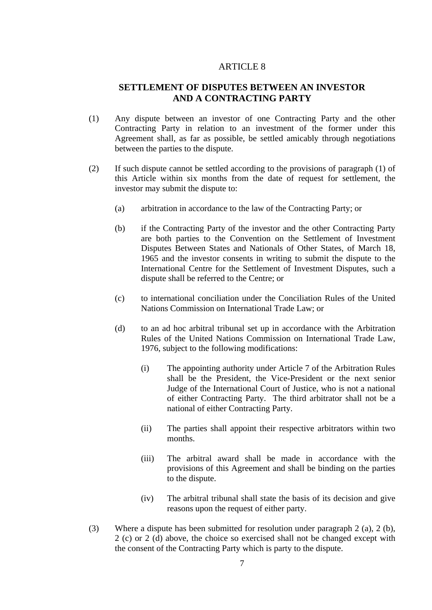# **SETTLEMENT OF DISPUTES BETWEEN AN INVESTOR AND A CONTRACTING PARTY**

- (1) Any dispute between an investor of one Contracting Party and the other Contracting Party in relation to an investment of the former under this Agreement shall, as far as possible, be settled amicably through negotiations between the parties to the dispute.
- (2) If such dispute cannot be settled according to the provisions of paragraph (1) of this Article within six months from the date of request for settlement, the investor may submit the dispute to:
	- (a) arbitration in accordance to the law of the Contracting Party; or
	- (b) if the Contracting Party of the investor and the other Contracting Party are both parties to the Convention on the Settlement of Investment Disputes Between States and Nationals of Other States, of March 18, 1965 and the investor consents in writing to submit the dispute to the International Centre for the Settlement of Investment Disputes, such a dispute shall be referred to the Centre; or
	- (c) to international conciliation under the Conciliation Rules of the United Nations Commission on International Trade Law; or
	- (d) to an ad hoc arbitral tribunal set up in accordance with the Arbitration Rules of the United Nations Commission on International Trade Law, 1976, subject to the following modifications:
		- (i) The appointing authority under Article 7 of the Arbitration Rules shall be the President, the Vice-President or the next senior Judge of the International Court of Justice, who is not a national of either Contracting Party. The third arbitrator shall not be a national of either Contracting Party.
		- (ii) The parties shall appoint their respective arbitrators within two months.
		- (iii) The arbitral award shall be made in accordance with the provisions of this Agreement and shall be binding on the parties to the dispute.
		- (iv) The arbitral tribunal shall state the basis of its decision and give reasons upon the request of either party.
- (3) Where a dispute has been submitted for resolution under paragraph 2 (a), 2 (b), 2 (c) or 2 (d) above, the choice so exercised shall not be changed except with the consent of the Contracting Party which is party to the dispute.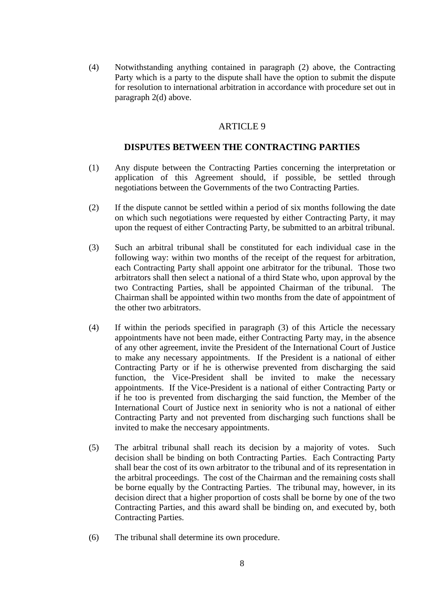(4) Notwithstanding anything contained in paragraph (2) above, the Contracting Party which is a party to the dispute shall have the option to submit the dispute for resolution to international arbitration in accordance with procedure set out in paragraph 2(d) above.

#### ARTICLE 9

### **DISPUTES BETWEEN THE CONTRACTING PARTIES**

- (1) Any dispute between the Contracting Parties concerning the interpretation or application of this Agreement should, if possible, be settled through negotiations between the Governments of the two Contracting Parties.
- (2) If the dispute cannot be settled within a period of six months following the date on which such negotiations were requested by either Contracting Party, it may upon the request of either Contracting Party, be submitted to an arbitral tribunal.
- (3) Such an arbitral tribunal shall be constituted for each individual case in the following way: within two months of the receipt of the request for arbitration, each Contracting Party shall appoint one arbitrator for the tribunal. Those two arbitrators shall then select a national of a third State who, upon approval by the two Contracting Parties, shall be appointed Chairman of the tribunal. The Chairman shall be appointed within two months from the date of appointment of the other two arbitrators.
- (4) If within the periods specified in paragraph (3) of this Article the necessary appointments have not been made, either Contracting Party may, in the absence of any other agreement, invite the President of the International Court of Justice to make any necessary appointments. If the President is a national of either Contracting Party or if he is otherwise prevented from discharging the said function, the Vice-President shall be invited to make the necessary appointments. If the Vice-President is a national of either Contracting Party or if he too is prevented from discharging the said function, the Member of the International Court of Justice next in seniority who is not a national of either Contracting Party and not prevented from discharging such functions shall be invited to make the neccesary appointments.
- (5) The arbitral tribunal shall reach its decision by a majority of votes. Such decision shall be binding on both Contracting Parties. Each Contracting Party shall bear the cost of its own arbitrator to the tribunal and of its representation in the arbitral proceedings. The cost of the Chairman and the remaining costs shall be borne equally by the Contracting Parties. The tribunal may, however, in its decision direct that a higher proportion of costs shall be borne by one of the two Contracting Parties, and this award shall be binding on, and executed by, both Contracting Parties.
- (6) The tribunal shall determine its own procedure.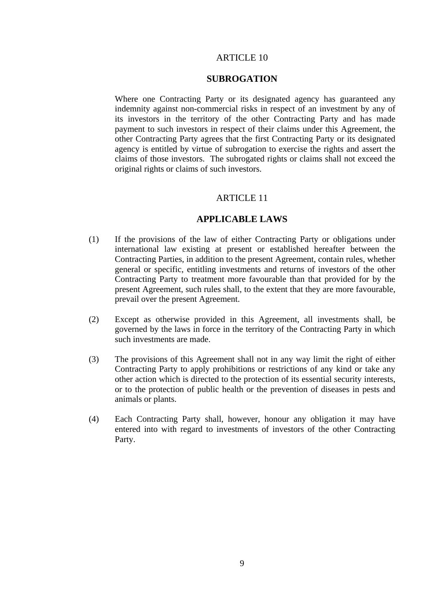### **SUBROGATION**

Where one Contracting Party or its designated agency has guaranteed any indemnity against non-commercial risks in respect of an investment by any of its investors in the territory of the other Contracting Party and has made payment to such investors in respect of their claims under this Agreement, the other Contracting Party agrees that the first Contracting Party or its designated agency is entitled by virtue of subrogation to exercise the rights and assert the claims of those investors. The subrogated rights or claims shall not exceed the original rights or claims of such investors.

#### ARTICLE 11

## **APPLICABLE LAWS**

- (1) If the provisions of the law of either Contracting Party or obligations under international law existing at present or established hereafter between the Contracting Parties, in addition to the present Agreement, contain rules, whether general or specific, entitling investments and returns of investors of the other Contracting Party to treatment more favourable than that provided for by the present Agreement, such rules shall, to the extent that they are more favourable, prevail over the present Agreement.
- (2) Except as otherwise provided in this Agreement, all investments shall, be governed by the laws in force in the territory of the Contracting Party in which such investments are made.
- (3) The provisions of this Agreement shall not in any way limit the right of either Contracting Party to apply prohibitions or restrictions of any kind or take any other action which is directed to the protection of its essential security interests, or to the protection of public health or the prevention of diseases in pests and animals or plants.
- (4) Each Contracting Party shall, however, honour any obligation it may have entered into with regard to investments of investors of the other Contracting Party.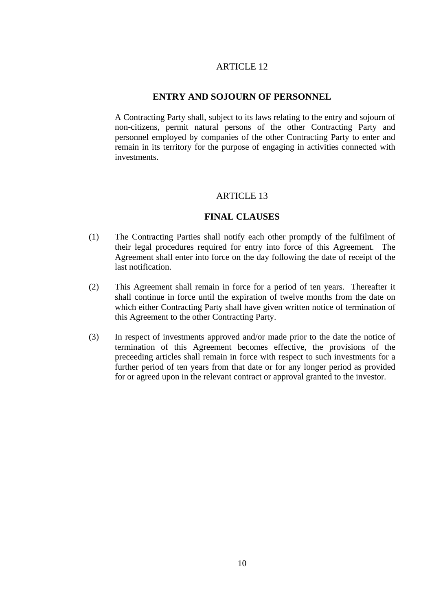## **ENTRY AND SOJOURN OF PERSONNEL**

 A Contracting Party shall, subject to its laws relating to the entry and sojourn of non-citizens, permit natural persons of the other Contracting Party and personnel employed by companies of the other Contracting Party to enter and remain in its territory for the purpose of engaging in activities connected with investments.

#### ARTICLE 13

#### **FINAL CLAUSES**

- (1) The Contracting Parties shall notify each other promptly of the fulfilment of their legal procedures required for entry into force of this Agreement. The Agreement shall enter into force on the day following the date of receipt of the last notification.
- (2) This Agreement shall remain in force for a period of ten years. Thereafter it shall continue in force until the expiration of twelve months from the date on which either Contracting Party shall have given written notice of termination of this Agreement to the other Contracting Party.
- (3) In respect of investments approved and/or made prior to the date the notice of termination of this Agreement becomes effective, the provisions of the preceeding articles shall remain in force with respect to such investments for a further period of ten years from that date or for any longer period as provided for or agreed upon in the relevant contract or approval granted to the investor.